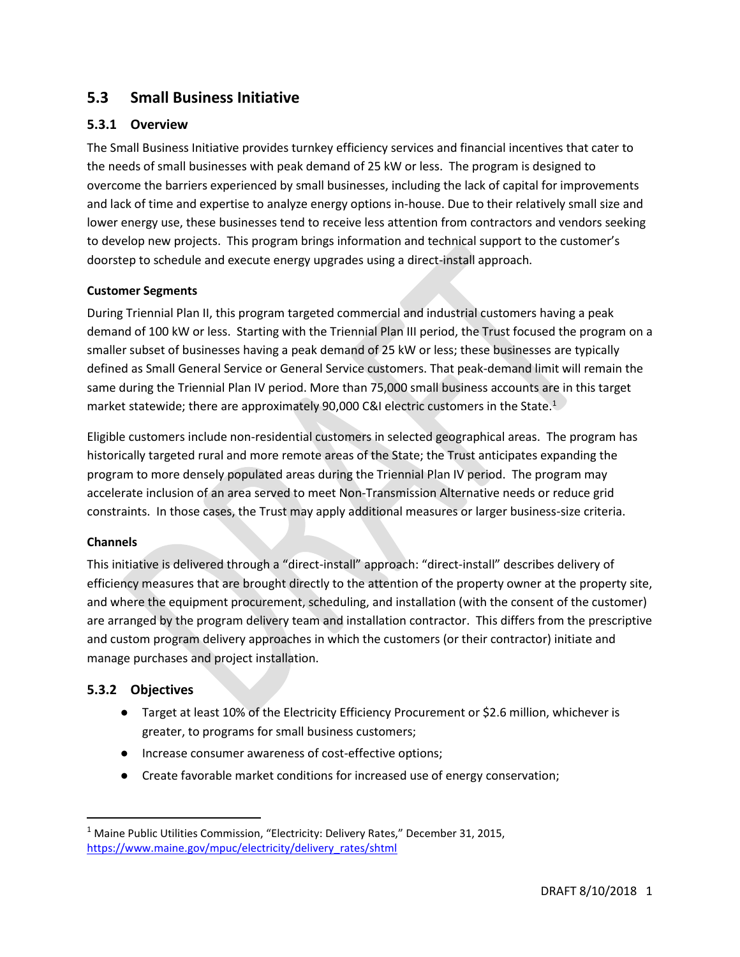# **5.3 Small Business Initiative**

## **5.3.1 Overview**

The Small Business Initiative provides turnkey efficiency services and financial incentives that cater to the needs of small businesses with peak demand of 25 kW or less. The program is designed to overcome the barriers experienced by small businesses, including the lack of capital for improvements and lack of time and expertise to analyze energy options in-house. Due to their relatively small size and lower energy use, these businesses tend to receive less attention from contractors and vendors seeking to develop new projects. This program brings information and technical support to the customer's doorstep to schedule and execute energy upgrades using a direct-install approach.

## **Customer Segments**

During Triennial Plan II, this program targeted commercial and industrial customers having a peak demand of 100 kW or less. Starting with the Triennial Plan III period, the Trust focused the program on a smaller subset of businesses having a peak demand of 25 kW or less; these businesses are typically defined as Small General Service or General Service customers. That peak-demand limit will remain the same during the Triennial Plan IV period. More than 75,000 small business accounts are in this target market statewide; there are approximately 90,000 C&I electric customers in the State. $1$ 

Eligible customers include non-residential customers in selected geographical areas. The program has historically targeted rural and more remote areas of the State; the Trust anticipates expanding the program to more densely populated areas during the Triennial Plan IV period. The program may accelerate inclusion of an area served to meet Non-Transmission Alternative needs or reduce grid constraints. In those cases, the Trust may apply additional measures or larger business-size criteria.

#### **Channels**

 $\overline{\phantom{a}}$ 

This initiative is delivered through a "direct-install" approach: "direct-install" describes delivery of efficiency measures that are brought directly to the attention of the property owner at the property site, and where the equipment procurement, scheduling, and installation (with the consent of the customer) are arranged by the program delivery team and installation contractor. This differs from the prescriptive and custom program delivery approaches in which the customers (or their contractor) initiate and manage purchases and project installation.

## **5.3.2 Objectives**

- Target at least 10% of the Electricity Efficiency Procurement or \$2.6 million, whichever is greater, to programs for small business customers;
- Increase consumer awareness of cost-effective options;
- Create favorable market conditions for increased use of energy conservation;

<sup>&</sup>lt;sup>1</sup> Maine Public Utilities Commission, "Electricity: Delivery Rates," December 31, 2015, [https://www.maine.gov/mpuc/electricity/delivery\\_rates/shtml](https://www.maine.gov/mpuc/electricity/delivery_rates/shtml)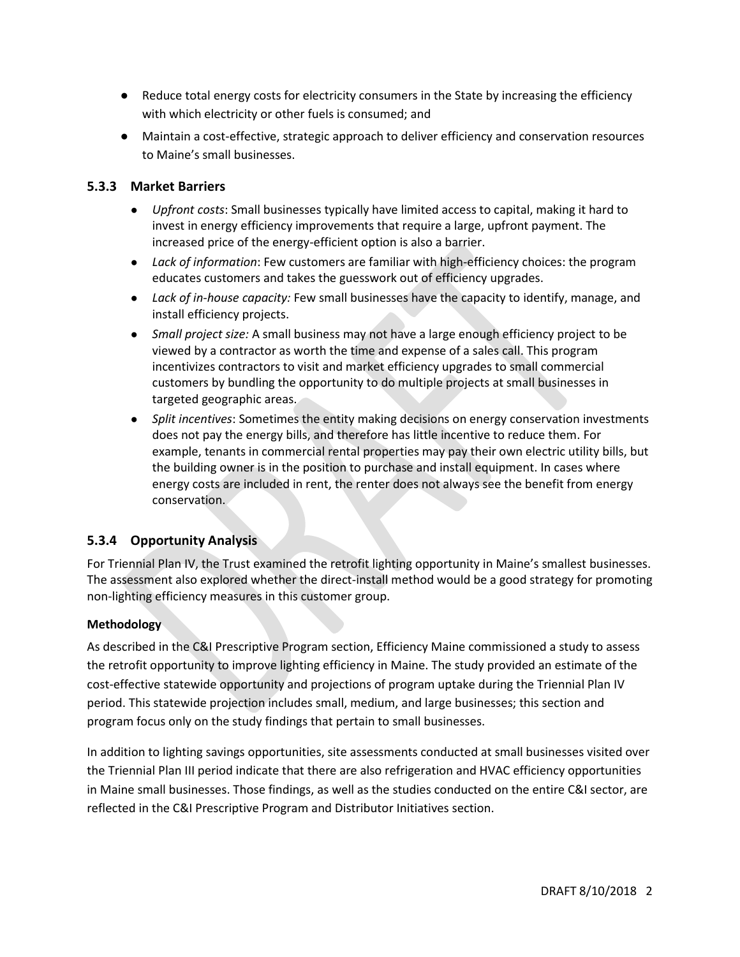- Reduce total energy costs for electricity consumers in the State by increasing the efficiency with which electricity or other fuels is consumed; and
- Maintain a cost-effective, strategic approach to deliver efficiency and conservation resources to Maine's small businesses.

## **5.3.3 Market Barriers**

- *Upfront costs*: Small businesses typically have limited access to capital, making it hard to invest in energy efficiency improvements that require a large, upfront payment. The increased price of the energy-efficient option is also a barrier.
- *Lack of information*: Few customers are familiar with high-efficiency choices: the program educates customers and takes the guesswork out of efficiency upgrades.
- *Lack of in-house capacity:* Few small businesses have the capacity to identify, manage, and install efficiency projects.
- *Small project size:* A small business may not have a large enough efficiency project to be viewed by a contractor as worth the time and expense of a sales call. This program incentivizes contractors to visit and market efficiency upgrades to small commercial customers by bundling the opportunity to do multiple projects at small businesses in targeted geographic areas.
- *Split incentives*: Sometimes the entity making decisions on energy conservation investments does not pay the energy bills, and therefore has little incentive to reduce them. For example, tenants in commercial rental properties may pay their own electric utility bills, but the building owner is in the position to purchase and install equipment. In cases where energy costs are included in rent, the renter does not always see the benefit from energy conservation.

## **5.3.4 Opportunity Analysis**

For Triennial Plan IV, the Trust examined the retrofit lighting opportunity in Maine's smallest businesses. The assessment also explored whether the direct-install method would be a good strategy for promoting non-lighting efficiency measures in this customer group.

## **Methodology**

As described in the C&I Prescriptive Program section, Efficiency Maine commissioned a study to assess the retrofit opportunity to improve lighting efficiency in Maine. The study provided an estimate of the cost-effective statewide opportunity and projections of program uptake during the Triennial Plan IV period. This statewide projection includes small, medium, and large businesses; this section and program focus only on the study findings that pertain to small businesses.

In addition to lighting savings opportunities, site assessments conducted at small businesses visited over the Triennial Plan III period indicate that there are also refrigeration and HVAC efficiency opportunities in Maine small businesses. Those findings, as well as the studies conducted on the entire C&I sector, are reflected in the C&I Prescriptive Program and Distributor Initiatives section.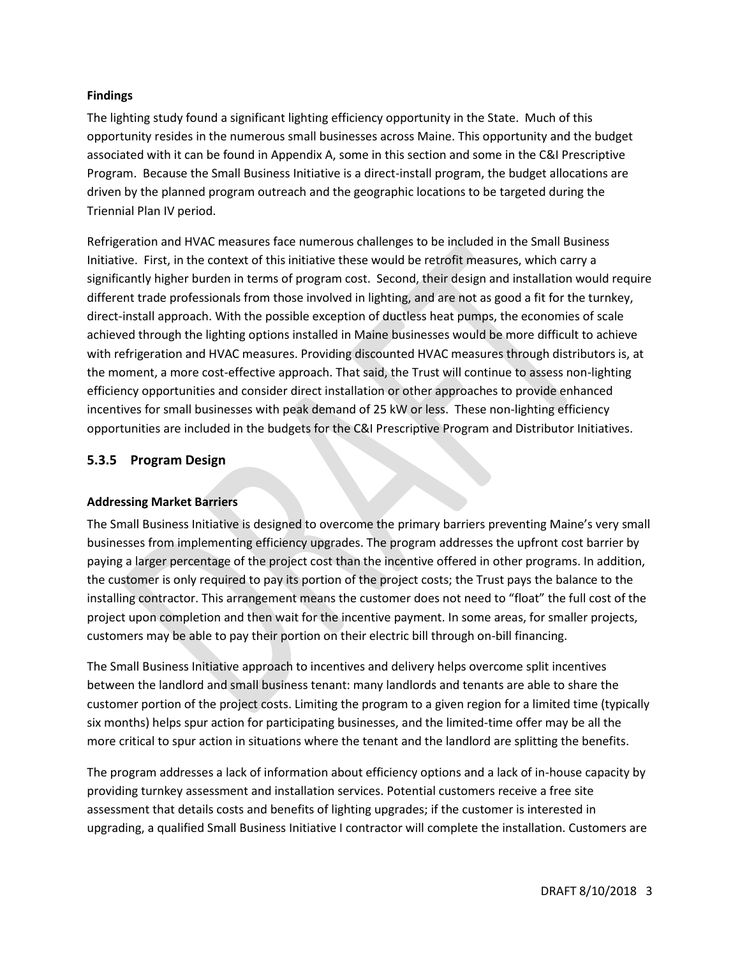#### **Findings**

The lighting study found a significant lighting efficiency opportunity in the State. Much of this opportunity resides in the numerous small businesses across Maine. This opportunity and the budget associated with it can be found in Appendix A, some in this section and some in the C&I Prescriptive Program. Because the Small Business Initiative is a direct-install program, the budget allocations are driven by the planned program outreach and the geographic locations to be targeted during the Triennial Plan IV period.

Refrigeration and HVAC measures face numerous challenges to be included in the Small Business Initiative. First, in the context of this initiative these would be retrofit measures, which carry a significantly higher burden in terms of program cost. Second, their design and installation would require different trade professionals from those involved in lighting, and are not as good a fit for the turnkey, direct-install approach. With the possible exception of ductless heat pumps, the economies of scale achieved through the lighting options installed in Maine businesses would be more difficult to achieve with refrigeration and HVAC measures. Providing discounted HVAC measures through distributors is, at the moment, a more cost-effective approach. That said, the Trust will continue to assess non-lighting efficiency opportunities and consider direct installation or other approaches to provide enhanced incentives for small businesses with peak demand of 25 kW or less. These non-lighting efficiency opportunities are included in the budgets for the C&I Prescriptive Program and Distributor Initiatives.

## **5.3.5 Program Design**

#### **Addressing Market Barriers**

The Small Business Initiative is designed to overcome the primary barriers preventing Maine's very small businesses from implementing efficiency upgrades. The program addresses the upfront cost barrier by paying a larger percentage of the project cost than the incentive offered in other programs. In addition, the customer is only required to pay its portion of the project costs; the Trust pays the balance to the installing contractor. This arrangement means the customer does not need to "float" the full cost of the project upon completion and then wait for the incentive payment. In some areas, for smaller projects, customers may be able to pay their portion on their electric bill through on-bill financing.

The Small Business Initiative approach to incentives and delivery helps overcome split incentives between the landlord and small business tenant: many landlords and tenants are able to share the customer portion of the project costs. Limiting the program to a given region for a limited time (typically six months) helps spur action for participating businesses, and the limited-time offer may be all the more critical to spur action in situations where the tenant and the landlord are splitting the benefits.

The program addresses a lack of information about efficiency options and a lack of in-house capacity by providing turnkey assessment and installation services. Potential customers receive a free site assessment that details costs and benefits of lighting upgrades; if the customer is interested in upgrading, a qualified Small Business Initiative I contractor will complete the installation. Customers are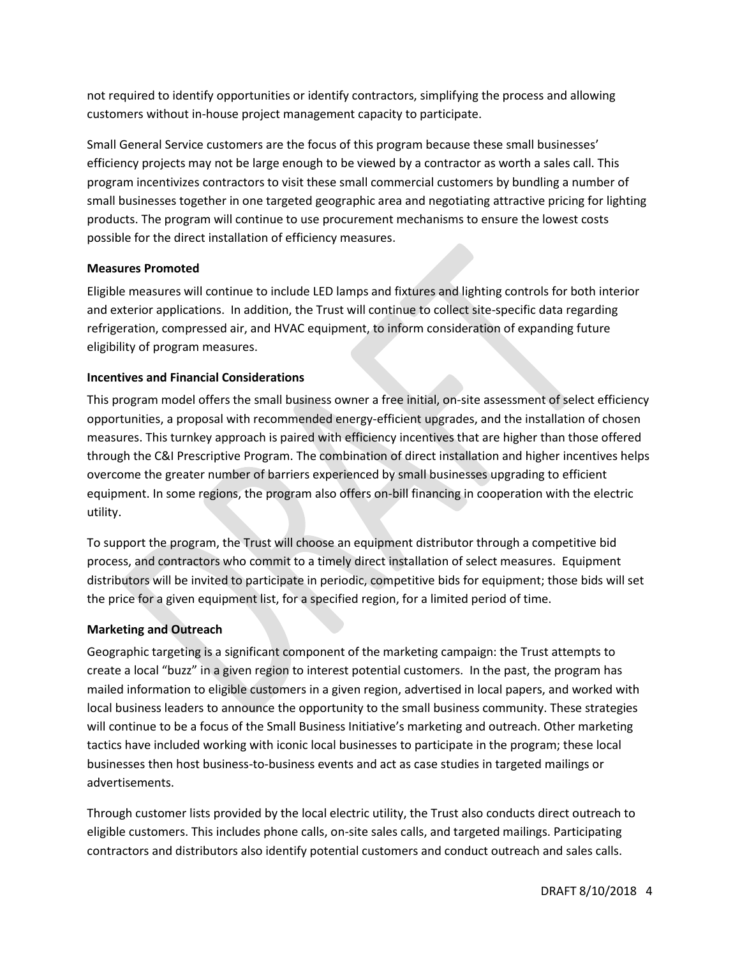not required to identify opportunities or identify contractors, simplifying the process and allowing customers without in-house project management capacity to participate.

Small General Service customers are the focus of this program because these small businesses' efficiency projects may not be large enough to be viewed by a contractor as worth a sales call. This program incentivizes contractors to visit these small commercial customers by bundling a number of small businesses together in one targeted geographic area and negotiating attractive pricing for lighting products. The program will continue to use procurement mechanisms to ensure the lowest costs possible for the direct installation of efficiency measures.

## **Measures Promoted**

Eligible measures will continue to include LED lamps and fixtures and lighting controls for both interior and exterior applications. In addition, the Trust will continue to collect site-specific data regarding refrigeration, compressed air, and HVAC equipment, to inform consideration of expanding future eligibility of program measures.

## **Incentives and Financial Considerations**

This program model offers the small business owner a free initial, on-site assessment of select efficiency opportunities, a proposal with recommended energy-efficient upgrades, and the installation of chosen measures. This turnkey approach is paired with efficiency incentives that are higher than those offered through the C&I Prescriptive Program. The combination of direct installation and higher incentives helps overcome the greater number of barriers experienced by small businesses upgrading to efficient equipment. In some regions, the program also offers on-bill financing in cooperation with the electric utility.

To support the program, the Trust will choose an equipment distributor through a competitive bid process, and contractors who commit to a timely direct installation of select measures. Equipment distributors will be invited to participate in periodic, competitive bids for equipment; those bids will set the price for a given equipment list, for a specified region, for a limited period of time.

#### **Marketing and Outreach**

Geographic targeting is a significant component of the marketing campaign: the Trust attempts to create a local "buzz" in a given region to interest potential customers. In the past, the program has mailed information to eligible customers in a given region, advertised in local papers, and worked with local business leaders to announce the opportunity to the small business community. These strategies will continue to be a focus of the Small Business Initiative's marketing and outreach. Other marketing tactics have included working with iconic local businesses to participate in the program; these local businesses then host business-to-business events and act as case studies in targeted mailings or advertisements.

Through customer lists provided by the local electric utility, the Trust also conducts direct outreach to eligible customers. This includes phone calls, on-site sales calls, and targeted mailings. Participating contractors and distributors also identify potential customers and conduct outreach and sales calls.